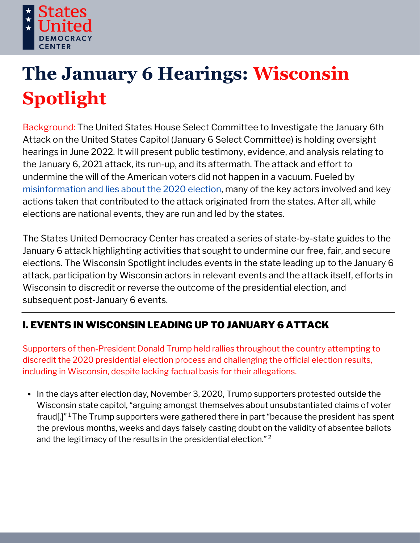

# **The January 6 Hearings: Wisconsin Spotlight**

Background: The United States House Select Committee to Investigate the January 6th Attack on the United States Capitol (January 6 Select Committee) is holding oversight hearings in June 2022. It will present public testimony, evidence, and analysis relating to the January 6, 2021 attack, its run-up, and its aftermath. The attack and effort to undermine the will of the American voters did not happen in a vacuum. Fueled by [misinformation](https://statesuniteddemocracy.org/wp-content/uploads/2021/01/000A-Myths-and-Facts-of-the-2020-Presidential-Election-20210113-FINAL.pdf) and lies about the 2020 election, many of the key actors involved and key actions taken that contributed to the attack originated from the states. After all, while elections are national events, they are run and led by the states.

The States United Democracy Center has created a series of state-by-state guides to the January 6 attack highlighting activities that sought to undermine our free, fair, and secure elections. The Wisconsin Spotlight includes events in the state leading up to the January 6 attack, participation by Wisconsin actors in relevant events and the attack itself, efforts in Wisconsin to discredit or reverse the outcome of the presidential election, and subsequent post-January 6 events.

# I. EVENTS IN WISCONSIN LEADING UP TO JANUARY 6 ATTACK

Supporters of then-President Donald Trump held rallies throughout the country attempting to discredit the 2020 presidential election process and challenging the official election results, including in Wisconsin, despite lacking factual basis for their allegations.

• In the days after election day, November 3, 2020, Trump supporters protested outside the Wisconsin state capitol, "arguing amongst themselves about unsubstantiated claims of voter fraud[.]"<sup>1</sup> The Trump supporters were gathered there in part "because the president has spent the previous months, weeks and days falsely casting doubt on the validity of absentee ballots and the legitimacy of the results in the presidential election." 2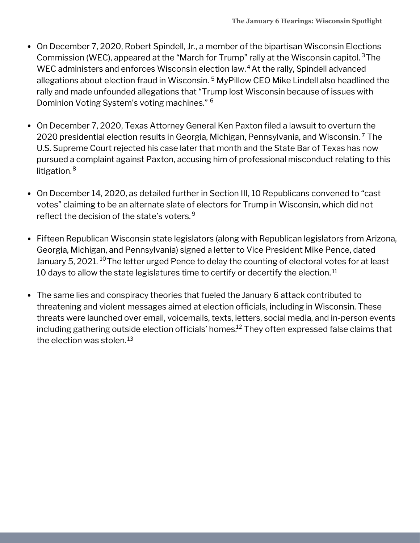- On December 7, 2020, Robert Spindell, Jr., a member of the bipartisan Wisconsin Elections Commission (WEC), appeared at the "March for Trump" rally at the Wisconsin capitol. <sup>3</sup>The WEC administers and enforces Wisconsin election law. $4$  At the rally, Spindell advanced allegations about election fraud in Wisconsin. <sup>5</sup> MyPillow CEO Mike Lindell also headlined the rally and made unfounded allegations that "Trump lost Wisconsin because of issues with Dominion Voting System's voting machines." 6
- On December 7, 2020, Texas Attorney General Ken Paxton filed a lawsuit to overturn the 2020 presidential election results in Georgia, Michigan, Pennsylvania, and Wisconsin. <sup>7</sup> The U.S. Supreme Court rejected his case later that month and the State Bar of Texas has now pursued a complaint against Paxton, accusing him of professional misconduct relating to this litigation. 8
- On December 14, 2020, as detailed further in Section III, 10 Republicans convened to "cast votes" claiming to be an alternate slate of electors for Trump in Wisconsin, which did not reflect the decision of the state's voters. 9
- Fifteen Republican Wisconsin state legislators (along with Republican legislators from Arizona, Georgia, Michigan, and Pennsylvania) signed a letter to Vice President Mike Pence, dated January 5, 2021. <sup>10</sup> The letter urged Pence to delay the counting of electoral votes for at least  $10$  days to allow the state legislatures time to certify or decertify the election. $^{\rm 11}$
- The same lies and conspiracy theories that fueled the January 6 attack contributed to threatening and violent messages aimed at election officials, including in Wisconsin. These threats were launched over email, voicemails, texts, letters, social media, and in-person events including gathering outside election officials' homes. $^\mathrm{12}$  They often expressed false claims that the election was stolen. 13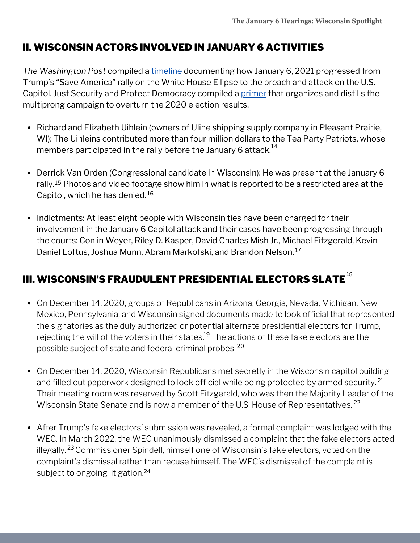## II. WISCONSIN ACTORS INVOLVED IN JANUARY 6 ACTIVITIES

*The Washington Post* compiled a [timeline](https://www.washingtonpost.com/nation/interactive/2021/capitol-insurrection-visual-timeline/) documenting how January 6, 2021 progressed from Trump's "Save America" rally on the White House Ellipse to the breach and attack on the U.S. Capitol. Just Security and Protect Democracy compiled a [primer](https://www.justsecurity.org/wp-content/uploads/2022/06/primer-on-january-6th-select-committee-hearings.pdf) that organizes and distills the multiprong campaign to overturn the 2020 election results.

- Richard and Elizabeth Uihlein (owners of Uline shipping supply company in Pleasant Prairie, WI): The Uihleins contributed more than four million dollars to the Tea Party Patriots, whose members participated in the rally before the January 6 attack. $^{14}$
- Derrick Van Orden (Congressional candidate in Wisconsin): He was present at the January 6 rally.<sup>15</sup> Photos and video footage show him in what is reported to be a restricted area at the Capitol, which he has denied. 16
- Indictments: At least eight people with Wisconsin ties have been charged for their involvement in the January 6 Capitol attack and their cases have been progressing through the courts: Conlin Weyer, Riley D. Kasper, David Charles Mish Jr., Michael Fitzgerald, Kevin Daniel Loftus, Joshua Munn, Abram Markofski, and Brandon Nelson. 17

# III. WISCONSIN'S FRAUDULENT PRESIDENTIAL ELECTORS SLATE $^{\rm 18}$

- On December 14, 2020, groups of Republicans in Arizona, Georgia, Nevada, Michigan, New Mexico, Pennsylvania, and Wisconsin signed documents made to look official that represented the signatories as the duly authorized or potential alternate presidential electors for Trump, rejecting the will of the voters in their states.<sup>19</sup> The actions of these fake electors are the possible subject of state and federal criminal probes. 20
- On December 14, 2020, Wisconsin Republicans met secretly in the Wisconsin capitol building and filled out paperwork designed to look official while being protected by armed security. 21 Their meeting room was reserved by Scott Fitzgerald, who was then the Majority Leader of the Wisconsin State Senate and is now a member of the U.S. House of Representatives.<sup>22</sup>
- After Trump's fake electors' submission was revealed, a formal complaint was lodged with the WEC. In March 2022, the WEC unanimously dismissed a complaint that the fake electors acted illegally.<sup>23</sup> Commissioner Spindell, himself one of Wisconsin's fake electors, voted on the complaint's dismissal rather than recuse himself. The WEC's dismissal of the complaint is subject to ongoing litigation. 24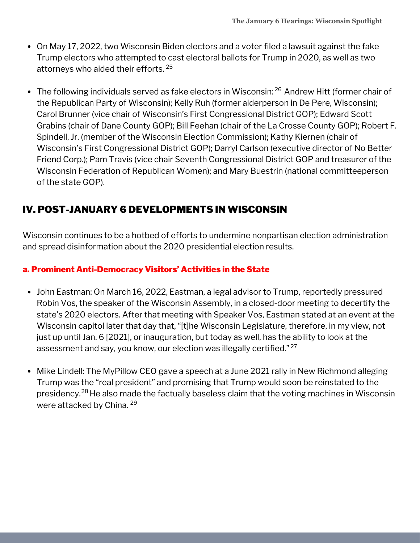- On May 17, 2022, two Wisconsin Biden electors and a voter filed a lawsuit against the fake Trump electors who attempted to cast electoral ballots for Trump in 2020, as well as two attorneys who aided their efforts. 25
- The following individuals served as fake electors in Wisconsin: <sup>26</sup> Andrew Hitt (former chair of the Republican Party of Wisconsin); Kelly Ruh (former alderperson in De Pere, Wisconsin); Carol Brunner (vice chair of Wisconsin's First Congressional District GOP); Edward Scott Grabins (chair of Dane County GOP); Bill Feehan (chair of the La Crosse County GOP); Robert F. Spindell, Jr. (member of the Wisconsin Election Commission); Kathy Kiernen (chair of Wisconsin's First Congressional District GOP); Darryl Carlson (executive director of No Better Friend Corp.); Pam Travis (vice chair Seventh Congressional District GOP and treasurer of the Wisconsin Federation of Republican Women); and Mary Buestrin (national committeeperson of the state GOP).

## IV. POST-JANUARY 6 DEVELOPMENTS IN WISCONSIN

Wisconsin continues to be a hotbed of efforts to undermine nonpartisan election administration and spread disinformation about the 2020 presidential election results.

## a. Prominent Anti-Democracy Visitors' Activities in the State

- John Eastman: On March 16, 2022, Eastman, a legal advisor to Trump, reportedly pressured Robin Vos, the speaker of the Wisconsin Assembly, in a closed-door meeting to decertify the state's 2020 electors. After that meeting with Speaker Vos, Eastman stated at an event at the Wisconsin capitol later that day that, "[t]he Wisconsin Legislature, therefore, in my view, not just up until Jan. 6 [2021], or inauguration, but today as well, has the ability to look at the assessment and say, you know, our election was illegally certified." <sup>27</sup>
- Mike Lindell: The MyPillow CEO gave a speech at a June 2021 rally in New Richmond alleging Trump was the "real president" and promising that Trump would soon be reinstated to the presidency.<sup>28</sup> He also made the factually baseless claim that the voting machines in Wisconsin were attacked by China. 29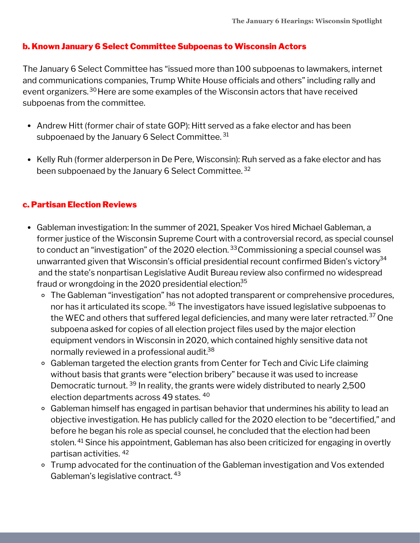#### b. Known January 6 Select Committee Subpoenas to Wisconsin Actors

The January 6 Select Committee has "issued more than 100 subpoenas to lawmakers, internet and communications companies, Trump White House officials and others" including rally and event organizers.<sup>30</sup>Here are some examples of the Wisconsin actors that have received subpoenas from the committee.

- Andrew Hitt (former chair of state GOP): Hitt served as a fake elector and has been subpoenaed by the January 6 Select Committee.  $^{31}$
- Kelly Ruh (former alderperson in De Pere, Wisconsin): Ruh served as a fake elector and has been subpoenaed by the January 6 Select Committee. 32

#### c. Partisan Election Reviews

- Gableman investigation: In the summer of 2021, Speaker Vos hired Michael Gableman, a former justice of the Wisconsin Supreme Court with a controversial record, as special counsel to conduct an "investigation" of the 2020 election. <sup>33</sup> Commissioning a special counsel was unwarranted given that Wisconsin's official presidential recount confirmed Biden's victory $^{34}$ and the state's nonpartisan Legislative Audit Bureau review also confirmed no widespread fraud or wrongdoing in the 2020 presidential election.<sup>35</sup>
	- The Gableman "investigation" has not adopted transparent or comprehensive procedures, nor has it articulated its scope. <sup>36</sup> The investigators have issued legislative subpoenas to the WEC and others that suffered legal deficiencies, and many were later retracted. $^{\rm 37}$  One subpoena asked for copies of all election project files used by the major election equipment vendors in Wisconsin in 2020, which contained highly sensitive data not normally reviewed in a professional audit. 38
	- Gableman targeted the election grants from Center for Tech and Civic Life claiming without basis that grants were "election bribery" because it was used to increase Democratic turnout. <sup>39</sup> In reality, the grants were widely distributed to nearly 2,500 election departments across 49 states. 40
	- Gableman himself has engaged in partisan behavior that undermines his ability to lead an objective investigation. He has publicly called for the 2020 election to be "decertified," and before he began his role as special counsel, he concluded that the election had been stolen. <sup>41</sup> Since his appointment, Gableman has also been criticized for engaging in overtly partisan activities. 42
	- Trump advocated for the continuation of the Gableman investigation and Vos extended Gableman's legislative contract. 43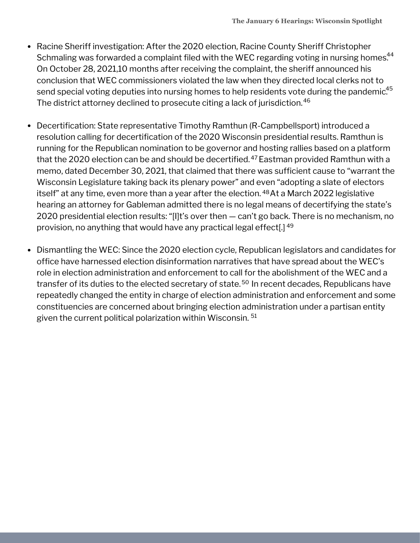- Racine Sheriff investigation: After the 2020 election, Racine County Sheriff Christopher Schmaling was forwarded a complaint filed with the WEC regarding voting in nursing homes.<sup>44</sup> On October 28, 2021,10 months after receiving the complaint, the sheriff announced his conclusion that WEC commissioners violated the law when they directed local clerks not to send special voting deputies into nursing homes to help residents vote during the pandemic. $^{45}$ The district attorney declined to prosecute citing a lack of jurisdiction. 46
- Decertification: State representative Timothy Ramthun (R-Campbellsport) introduced a resolution calling for decertification of the 2020 Wisconsin presidential results. Ramthun is running for the Republican nomination to be governor and hosting rallies based on a platform that the 2020 election can be and should be decertified.<sup>47</sup> Eastman provided Ramthun with a memo, dated December 30, 2021, that claimed that there was sufficient cause to "warrant the Wisconsin Legislature taking back its plenary power" and even "adopting a slate of electors itself" at any time, even more than a year after the election. <sup>48</sup>At a March 2022 legislative hearing an attorney for Gableman admitted there is no legal means of decertifying the state's 2020 presidential election results: "[I]t's over then — can't go back. There is no mechanism, no provision, no anything that would have any practical legal effect[.] 49
- Dismantling the WEC: Since the 2020 election cycle, Republican legislators and candidates for office have harnessed election disinformation narratives that have spread about the WEC's role in election administration and enforcement to call for the abolishment of the WEC and a transfer of its duties to the elected secretary of state.<sup>50</sup> In recent decades, Republicans have repeatedly changed the entity in charge of election administration and enforcement and some constituencies are concerned about bringing election administration under a partisan entity given the current political polarization within Wisconsin. 51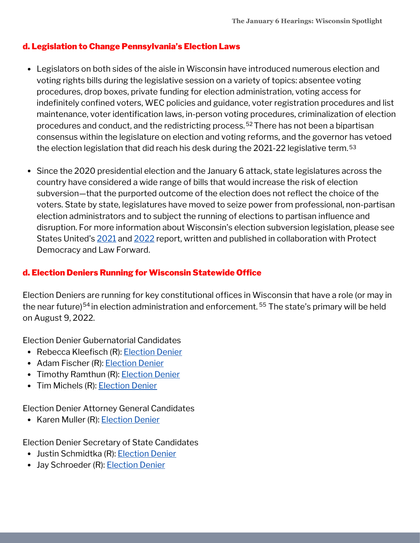## d. Legislation to Change Pennsylvania's Election Laws

- Legislators on both sides of the aisle in Wisconsin have introduced numerous election and voting rights bills during the legislative session on a variety of topics: absentee voting procedures, drop boxes, private funding for election administration, voting access for indefinitely confined voters, WEC policies and guidance, voter registration procedures and list maintenance, voter identification laws, in-person voting procedures, criminalization of election procedures and conduct, and the redistricting process.<sup>52</sup> There has not been a bipartisan consensus within the legislature on election and voting reforms, and the governor has vetoed the election legislation that did reach his desk during the 2021-22 legislative term. 53
- Since the 2020 presidential election and the January 6 attack, state legislatures across the country have considered a wide range of bills that would increase the risk of election subversion—that the purported outcome of the election does not reflect the choice of the voters. State by state, legislatures have moved to seize power from professional, non-partisan election administrators and to subject the running of elections to partisan influence and disruption. For more information about Wisconsin's election subversion legislation, please see States United's [2021](https://statesuniteddemocracy.org/wp-content/uploads/2021/04/FINAL-Democracy-Crisis-Report-April-21.pdf) and [2022](https://statesuniteddemocracy.org/wp-content/uploads/2022/05/DCITM_2022.pdf) report, written and published in collaboration with Protect Democracy and Law Forward.

## d. Election Deniers Running for Wisconsin Statewide Office

Election Deniers are running for key constitutional offices in Wisconsin that have a role (or may in the near future)<sup>54</sup> in election administration and enforcement. <sup>55</sup> The state's primary will be held on August 9, 2022.

Election Denier Gubernatorial Candidates

- Rebecca Kleefisch (R): [Election](https://statesuniteddemocracy.org/wp-content/uploads/2022/06/gov_deniers.html#433_Wisconsin_-_Rebecca_Kleefisch) Denier
- Adam Fischer (R): [Election](https://statesuniteddemocracy.org/wp-content/uploads/2022/06/gov_deniers.html#432_Wisconsin_-_Adam_Fischer) Denier
- Timothy Ramthun (R): **[Election](https://statesuniteddemocracy.org/wp-content/uploads/2022/06/gov_deniers.html#435_Wisconsin_-_Timothy_Ramthun) Denier**
- Tim Michels (R): **[Election](https://statesuniteddemocracy.org/wp-content/uploads/2022/06/gov_deniers.html#434_Wisconsin_-_Tim_Michels) Denier**

Election Denier Attorney General Candidates

• Karen Muller (R): **[Election](https://statesuniteddemocracy.org/wp-content/uploads/2022/06/ag_deniers.html#415_Wisconsin_-_Karen_Mueller) Denier** 

Election Denier Secretary of State Candidates

- Justin Schmidtka (R): [Election](https://statesuniteddemocracy.org/wp-content/uploads/2022/06/sos_deniers.html#422_Wisconsin_-_Justin_Schmidtka) Denier
- Jay Schroeder (R): **[Election](https://statesuniteddemocracy.org/wp-content/uploads/2022/06/sos_deniers.html#421_Wisconsin_-_Jay_Schroeder) Denier**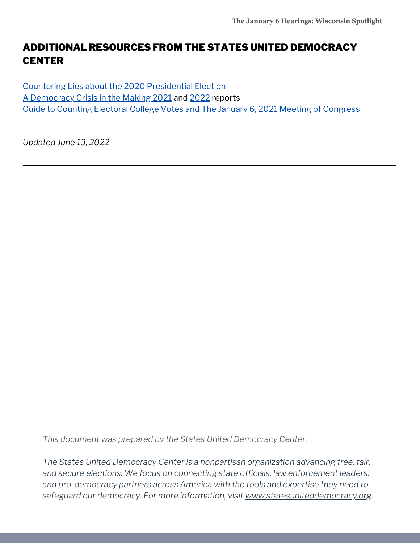## ADDITIONAL RESOURCES FROM THE STATES UNITED DEMOCRACY **CENTER**

Countering Lies about the 2020 [Presidential](https://statesuniteddemocracy.org/wp-content/uploads/2021/01/000A-Myths-and-Facts-of-the-2020-Presidential-Election-20210113-FINAL.pdf) Election A [Democracy](https://statesuniteddemocracy.org/resources/democracy-crisis-in-the-making-how-state-legislatures-are-politicizing-criminalizing-and-interfering-with-elections/) Crisis in the Making [2021](https://statesuniteddemocracy.org/wp-content/uploads/2021/04/FINAL-Democracy-Crisis-Report-April-21.pdf) and [2022](https://statesuniteddemocracy.org/wp-content/uploads/2022/05/DCITM_2022.pdf) reports Guide to Counting Electoral College Votes and The January 6, 2021 Meeting of [Congress](https://statesuniteddemocracy.org/wp-content/uploads/2021/01/VPP-Guide-to-Counting-Electoral-Votes.pdf)

*Updated June 13, 2022*

*This document was prepared by the States United Democracy Center.*

*The States United Democracy Center is a nonpartisan organization advancing free, fair, and secure elections. We focus on connecting state officials, law enforcement leaders, and pro-democracy partners across America with the tools and expertise they need to safeguard our democracy. For more information, visit [www.statesuniteddemocracy.org.](http://www.statesuniteddemocracy.org/)*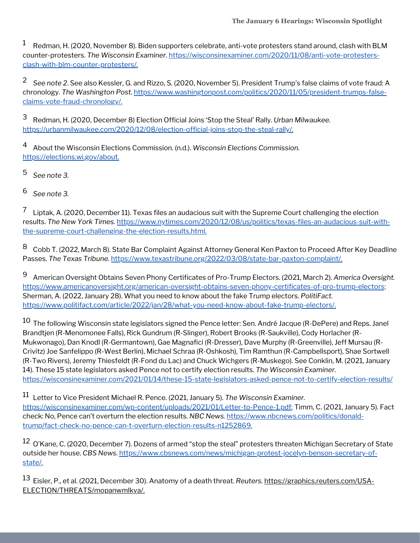Redman, H. (2020, November 8). Biden supporters celebrate, anti-vote protesters stand around, clash with BLM counter-protesters. *The Wisconsin Examiner.* [https://wisconsinexaminer.com/2020/11/08/anti-vote-protesters](https://wisconsinexaminer.com/2020/11/08/anti-vote-protesters-clash-with-blm-counter-protesters/)clash-with-blm-counter-protesters/. 1

*See note 2*. See also Kessler, G. and Rizzo, S. (2020, November 5). President Trump's false claims of vote fraud: A 2 chronology. *The Washington Post.* [https://www.washingtonpost.com/politics/2020/11/05/president-trumps-false](https://www.washingtonpost.com/politics/2020/11/05/president-trumps-false-claims-vote-fraud-chronology/)claims-vote-fraud-chronology/.

Redman, H. (2020, December 8) Election Official Joins 'Stop the Steal' Rally. *Urban Milwaukee.* 3 <https://urbanmilwaukee.com/2020/12/08/election-official-joins-stop-the-steal-rally/>.

About the Wisconsin Elections Commission. (n.d.). *Wisconsin Elections Commission.* <https://elections.wi.gov/about.> 4

*See note 3.* 5

*See note 3.* 6

Liptak, A. (2020, December 11). Texas files an audacious suit with the Supreme Court challenging the election results. *The New York Times.* [https://www.nytimes.com/2020/12/08/us/politics/texas-files-an-audacious-suit-with](https://www.nytimes.com/2020/12/08/us/politics/texas-files-an-audacious-suit-with-the-supreme-court-challenging-the-election-results.html.)the-supreme-court-challenging-the-election-results.html. 7

Cobb T. (2022, March 8). State Bar Complaint Against Attorney General Ken Paxton to Proceed After Key Deadline Passes. *The Texas Tribune.* https://www.texastribune.org/2022/03/08/state-bar-paxton-complaint/. 8

American Oversight Obtains Seven Phony Certificates of Pro-Trump Electors. (2021, March 2). *America Oversight.* <https://www.americanoversight.org/american-oversight-obtains-seven-phony-certificates-of-pro-trump-electors;> Sherman, A. (2022, January 28). What you need to know about the fake Trump electors. *PolitiFact.* [https://www.politifact.com/article/2022/jan/28/what-you-need-know-about-fake-trump-electors/.](https://www.politifact.com/article/2022/jan/28/what-you-need-know-about-fake-trump-electors/) 9

 $^{10}$  The following Wisconsin state legislators signed the Pence letter: Sen. André Jacque (R-DePere) and Reps. Janel Brandtjen (R-Menomonee Falls), Rick Gundrum (R-Slinger), Robert Brooks (R-Saukville), Cody Horlacher (R-Mukwonago), Dan Knodl (R-Germantown), Gae Magnafici (R-Dresser), Dave Murphy (R-Greenville), Jeff Mursau (R-Crivitz) Joe Sanfelippo (R-West Berlin), Michael Schraa (R-Oshkosh), Tim Ramthun (R-Campbellsport), Shae Sortwell (R-Two Rivers), Jeremy Thiesfeldt (R-Fond du Lac) and Chuck Wichgers (R-Muskego). See Conklin, M. (2021, January 14). These 15 state legislators asked Pence not to certify election results. *The Wisconsin Examiner*. <https://wisconsinexaminer.com/2021/01/14/these-15-state-legislators-asked-pence-not-to-certify-election-results/>

Letter to Vice President Michael R. Pence. (2021, January 5). *The Wisconsin Examiner.* 11 [https://wisconsinexaminer.com/wp-content/uploads/2021/01/Letter-to-Pence-1.pdf;](https://wisconsinexaminer.com/wp-content/uploads/2021/01/Letter-to-Pence-1.pdf) Timm, C. (2021, January 5). Fact check: No, Pence can't overturn the election results. *NBC News.* https://www.nbcnews.com/politics/donald[trump/fact-check-no-pence-can-t-overturn-election-results-n1252869.](https://www.nbcnews.com/politics/donald-trump/fact-check-no-pence-can-t-overturn-election-results-n1252869)

 $^{12}$  O'Kane, C. (2020, December 7). Dozens of armed "stop the steal" protesters threaten Michigan Secretary of State outside her house. *CBS News.* [https://www.cbsnews.com/news/michigan-protest-jocelyn-benson-secretary-of](https://www.cbsnews.com/news/michigan-protest-jocelyn-benson-secretary-of-state/)state/.

Eisler, P., et al. (2021, December 30). Anatomy of a death threat. *Reuters.* https://graphics.reuters.com/USA-13[ELECTION/THREATS/mopanwmlkva/.](http://ttps/graphics.reuters.com/USA-ELECTION/THREATS/mopanwmlkva/)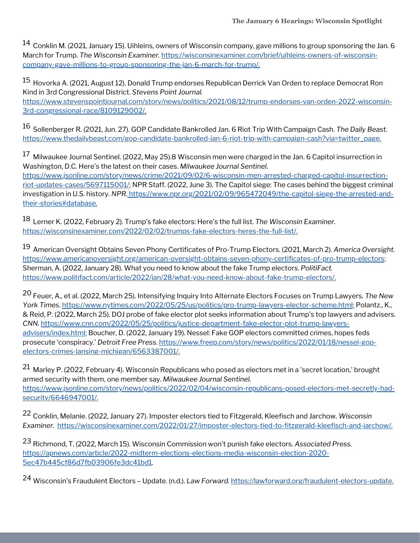$^{14}$  Conklin M. (2021, January 15). Uihleins, owners of Wisconsin company, gave millions to group sponsoring the Jan. 6 March for Trump. *The Wisconsin Examiner.* https://wisconsinexaminer.com/brief/uihleins-owners-of-wisconsin[company-gave-millions-to-group-sponsoring-the-jan-6-march-for-trump/.](https://wisconsinexaminer.com/brief/uihleins-owners-of-wisconsin-company-gave-millions-to-group-sponsoring-the-jan-6-march-for-trump)

<sup>15</sup> Hovorka A. (2021, August 12). Donald Trump endorses Republican Derrick Van Orden to replace Democrat Ron Kind in 3rd Congressional District. *Stevens Point Journal.* [https://www.stevenspointjournal.com/story/news/politics/2021/08/12/trump-endorses-van-orden-2022-wisconsin-](https://www.stevenspointjournal.com/story/news/politics/2021/08/12/trump-endorses-van-orden-2022-wisconsin-3rd-congressional-race/8109129002/)3rd-congressional-race/8109129002/.

 $^{16}$  Sollenberger R. (2021, Jun. 27). GOP Candidate Bankrolled Jan. 6 Riot Trip With Campaign Cash. *The Daily Beast.* [https://www.thedailybeast.com/gop-candidate-bankrolled-jan-6-riot-trip-with-campaign-cash?via=twitter\\_page.](https://www.thedailybeast.com/gop-candidate-bankrolled-jan-6-riot-trip-with-campaign-cash?via=twitter_page)

 $^{17}$  Milwaukee Journal Sentinel. (2022, May 25).8 Wisconsin men were charged in the Jan. 6 Capitol insurrection in Washington, D.C. Here's the latest on their cases. *Milwaukee Journal Sentinel.* [https://www.jsonline.com/story/news/crime/2021/09/02/6-wisconsin-men-arrested-charged-capitol-insurrection](https://www.jsonline.com/story/news/crime/2021/09/02/6-wisconsin-men-arrested-charged-capitol-insurrection-riot-updates-cases/5697115001/)riot-updates-cases/5697115001/; NPR Staff. (2022, June 3). The Capitol siege: The cases behind the biggest criminal investigation in U.S. history. *NPR.* [https://www.npr.org/2021/02/09/965472049/the-capitol-siege-the-arrested-and](https://www.npr.org/2021/02/09/965472049/the-capitol-siege-the-arrested-and-their-stories#database.)their-stories#database.

Lerner K. (2022, February 2). Trump's fake electors: Here's the full list. *The Wisconsin Examiner.* 18 <https://wisconsinexaminer.com/2022/02/02/trumps-fake-electors-heres-the-full-list/>.

American Oversight Obtains Seven Phony Certificates of Pro-Trump Electors. (2021, March 2). *America Oversight.* 19 <https://www.americanoversight.org/american-oversight-obtains-seven-phony-certificates-of-pro-trump-electors;> Sherman, A. (2022, January 28). What you need to know about the fake Trump electors. *PolitiFact.* [https://www.politifact.com/article/2022/jan/28/what-you-need-know-about-fake-trump-electors/.](https://www.politifact.com/article/2022/jan/28/what-you-need-know-about-fake-trump-electors/)

Feuer, A., et al. (2022, March 25). Intensifying Inquiry Into Alternate Electors Focuses on Trump Lawyers. *The New* 20 *York Times*. [https://www.nytimes.com/2022/05/25/us/politics/pro-trump-lawyers-elector-scheme.html;](https://www.nytimes.com/2022/05/25/us/politics/pro-trump-lawyers-elector-scheme.html) Polantz., K., & Reid, P. (2022, March 25). DOJ probe of fake elector plot seeks information about Trump's top lawyers and advisers. *CNN.* [https://www.cnn.com/2022/05/25/politics/justice-department-fake-elector-plot-trump-lawyers](https://www.cnn.com/2022/05/25/politics/justice-department-fake-elector-plot-trump-lawyers-advisers/index.html)advisers/index.html; Boucher, D. (2022, January 19). Nessel: Fake GOP electors committed crimes, hopes feds prosecute 'conspiracy.' *Detroit Free Press.* [https://www.freep.com/story/news/politics/2022/01/18/nessel-gop](https://www.freep.com/story/news/politics/2022/01/18/nessel-gop-electors-crimes-lansing-michigan/6563387001/)electors-crimes-lansing-michigan/6563387001/.

 $^{21}$  Marley P. (2022, February 4). Wisconsin Republicans who posed as electors met in a 'secret location,' brought armed security with them, one member say. *Milwaukee Journal Sentinel.* [https://www.jsonline.com/story/news/politics/2022/02/04/wisconsin-republicans-posed-electors-met-secretly-had](https://www.jsonline.com/story/news/politics/2022/02/04/wisconsin-republicans-posed-electors-met-secretly-had-security/6646947001/)security/6646947001/.

Conklin, Melanie. (2022, January 27). Imposter electors tied to Fitzgerald, Kleefisch and Jarchow. *Wisconsin* 22 *Examiner.* <https://wisconsinexaminer.com/2022/01/27/imposter-electors-tied-to-fitzgerald-kleefisch-and-jarchow/>.

Richmond, T. (2022, March 15). Wisconsin Commission won't punish fake electors. *Associated Press*. 23 [https://apnews.com/article/2022-midterm-elections-elections-media-wisconsin-election-2020-](https://apnews.com/article/2022-midterm-elections-elections-media-wisconsin-election-2020-5ec47b445cf86d7fb03906fe3dc41bd1) 5ec47b445cf86d7fb03906fe3dc41bd1.

Wisconsin's Fraudulent Electors – Update. (n.d.). *Law Forward.* [https://lawforward.org/fraudulent-electors-update.](https://lawforward.org/fraudulent-electors-update) 24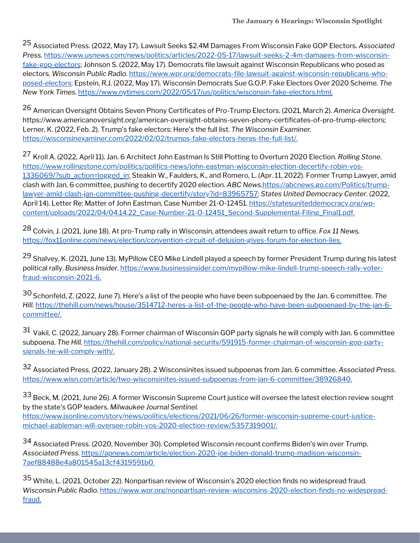Associated Press. (2022, May 17). Lawsuit Seeks \$2.4M Damages From Wisconsin Fake GOP Electors. *Associated* 25 *Press.* [https://www.usnews.com/news/politics/articles/2022-05-17/lawsuit-seeks-2-4m-damages-from-wisconsin](https://www.usnews.com/news/politics/articles/2022-05-17/lawsuit-seeks-2-4m-damages-from-wisconsin-fake-gop-electors;)fake-gop-electors; Johnson S. (2022, May 17). Democrats file lawsuit against Wisconsin Republicans who posed as electors. *Wisconsin Public Radio*. [https://www.wpr.org/democrats-file-lawsuit-against-wisconsin-republicans-who](https://www.wpr.org/democrats-file-lawsuit-against-wisconsin-republicans-who-posed-electors)posed-electors; Epstein, R.J. (2022, May 17). Wisconsin Democrats Sue G.O.P. Fake Electors Over 2020 Scheme. *The New York Times.* <https://www.nytimes.com/2022/05/17/us/politics/wisconsin-fake-electors.html>.

American Oversight Obtains Seven Phony Certificates of Pro-Trump Electors. (2021, March 2). *America Oversight.* 26 <https://www.americanoversight.org/american-oversight-obtains-seven-phony-certificates-of-pro-trump-electors;> Lerner, K. (2022, Feb. 2). Trump's fake electors: Here's the full list. *The Wisconsin Examiner.* <https://wisconsinexaminer.com/2022/02/02/trumps-fake-electors-heres-the-full-list/>.

<sup>27</sup> Kroll A. (2022, April 11). Jan. 6 Architect John Eastman Is Still Plotting to Overturn 2020 Election. *Rolling Stone.* [https://www.rollingstone.com/politics/politics-news/john-eastman-wisconsin-election-decertify-robin-vos-](https://www.rollingstone.com/politics/politics-news/john-eastman-wisconsin-election-decertify-robin-vos-1336069/?sub_action=logged_in)1336069/?sub\_action=logged\_in; Steakin W., Faulders, K., and Romero, L. (Apr. 11, 2022). Former Trump Lawyer, amid clash with Jan. 6 committee, pushing to decertify 2020 election. *ABC News.*https://abcnews.go.com/Politics/trump[lawyer-amid-clash-jan-committee-pushing-decertify/story?id=83965757;](https://abcnews.go.com/Politics/trump-lawyer-amid-clash-jan-committee-pushing-decertify/story?id=83965757) *States United Democracy Center*. (2022, April 14). Letter Re: Matter of John Eastman, Case Number 21-0-12451. https://statesuniteddemocracy.org/wp[content/uploads/2022/04/04.14.22\\_Case-Number-21-O-12451\\_Second-Supplemental-Filing\\_Final1.pdf.](https://statesuniteddemocracy.org/wp-content/uploads/2022/04/04.14.22_Case-Number-21-O-12451_Second-Supplemental-Filing_Final1.pdf)

Colvin, J. (2021, June 18). At pro-Trump rally in Wisconsin, attendees await return to office. *Fox 11 News.* 28 [https://fox11online.com/news/election/convention-circuit-of-delusion-gives-forum-for-election-lies.](https://fox11online.com/news/election/convention-circuit-of-delusion-gives-forum-for-election-lies)

<sup>29</sup> Shalvey, K. (2021, June 13). MyPillow CEO Mike Lindell played a speech by former President Trump during his latest political rally. *Business Insider.* [https://www.businessinsider.com/mypillow-mike-lindell-trump-speech-rally-voter](https://www.businessinsider.com/mypillow-mike-lindell-trump-speech-rally-voter-fraud-wisconsin-2021-6)fraud-wisconsin-2021-6.

Schonfeld, Z. (2022, June 7). Here's a list of the people who have been subpoenaed by the Jan. 6 committee. *The* 30 *Hill.* [https://thehill.com/news/house/3514712-heres-a-list-of-the-people-who-have-been-subpoenaed-by-the-jan-6](https://thehill.com/news/house/3514712-heres-a-list-of-the-people-who-have-been-subpoenaed-by-the-jan-6-committee/) committee/.

 $^{31}$  Vakil, C. (2022, January 28). Former chairman of Wisconsin GOP party signals he will comply with Jan. 6 committee subpoena. *The Hill.* [https://thehill.com/policy/national-security/591915-former-chairman-of-wisconsin-gop-party](https://thehill.com/policy/national-security/591915-former-chairman-of-wisconsin-gop-party-signals-he-will-comply-with/)signals-he-will-comply-with/.

Associated Press. (2022, January 28). 2 Wisconsinites issued subpoenas from Jan. 6 committee. *Associated Press*. 32 [https://www.wisn.com/article/two-wisconsinites-issued-subpoenas-from-jan-6-committee/38926840.](https://www.wisn.com/article/two-wisconsinites-issued-subpoenas-from-jan-6-committee/38926840)

 $^{33}$  Beck, M. (2021, June 26). A former Wisconsin Supreme Court justice will oversee the latest election review sought by the state's GOP leaders. *Milwaukee Journal Sentinel.* [https://www.jsonline.com/story/news/politics/elections/2021/06/26/former-wisconsin-supreme-court-justice](https://www.jsonline.com/story/news/politics/elections/2021/06/26/former-wisconsin-supreme-court-justice-michael-gableman-will-oversee-robin-vos-2020-election-review/5357319001/)michael-gableman-will-oversee-robin-vos-2020-election-review/5357319001/.

34 Associated Press. (2020, November 30). Completed Wisconsin recount confirms Biden's win over Trump. *Associated Press.* [https://apnews.com/article/election-2020-joe-biden-donald-trump-madison-wisconsin-](https://apnews.com/article/election-2020-joe-biden-donald-trump-madison-wisconsin-7aef88488e4a801545a13cf4319591b0)7aef88488e4a801545a13cf4319591b0.

<sup>35</sup> White, L. (2021, October 22). Nonpartisan review of Wisconsin's 2020 election finds no widespread fraud. *Wisconsin Public Radio.* [https://www.wpr.org/nonpartisan-review-wisconsins-2020-election-finds-no-widespread](https://www.wpr.org/nonpartisan-review-wisconsins-2020-election-finds-no-widespread-fraud)fraud.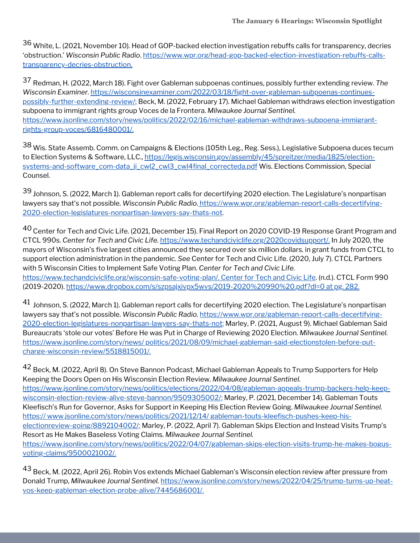<sup>36</sup> White, L. (2021, November 10). Head of GOP-backed election investigation rebuffs calls for transparency, decries 'obstruction.' *Wisconsin Public Radio*. [https://www.wpr.org/head-gop-backed-election-investigation-rebuffs-calls](https://www.wpr.org/head-gop-backed-election-investigation-rebuffs-calls-transparency-decries-obstruction)transparency-decries-obstruction.

Redman, H. (2022, March 18). Fight over Gableman subpoenas continues, possibly further extending review. *The* 37 *Wisconsin Examiner.* [https://wisconsinexaminer.com/2022/03/18/fight-over-gableman-subpoenas-continues](https://wisconsinexaminer.com/2022/03/18/fight-over-gableman-subpoenas-continues-possibly-further-extending-review/)possibly-further-extending-review/; Beck, M. (2022, February 17). Michael Gableman withdraws election investigation subpoena to immigrant rights group Voces de la Frontera. *Milwaukee Journal Sentinel.* [https://www.jsonline.com/story/news/politics/2022/02/16/michael-gableman-withdraws-subpoena-immigrant](https://www.jsonline.com/story/news/politics/2022/02/16/michael-gableman-withdraws-subpoena-immigrant-rights-group-voces/6816480001/)rights-group-voces/6816480001/.

<sup>38</sup> Wis. State Assemb. Comm. on Campaigns & Elections (105th Leg., Reg. Sess.), Legislative Subpoena duces tecum to Election Systems & Software, LLC., [https://legis.wisconsin.gov/assembly/45/spreitzer/media/1825/election](https://legis.wisconsin.gov/assembly/45/spreitzer/media/1825/election-systems-and-software_com-data_ji_cwl2_cwl3_cwl4final_correcteda.pdf)systems-and-software\_com-data\_ji\_cwl2\_cwl3\_cwl4final\_correcteda.pdf Wis. Elections Commission, Special Counsel.

39 Johnson, S. (2022, March 1). Gableman report calls for decertifying 2020 election. The Legislature's nonpartisan lawyers say that's not possible. Wisconsin Public Radio. https://www.wpr.org/gableman-report-calls-decertifying-[2020-election-legislatures-nonpartisan-lawyers-say-thats-not.](https://www.wpr.org/gableman-report-calls-decertifying-2020-election-legislatures-nonpartisan-lawyers-say-thats-not)

 $^{40}$  Center for Tech and Civic Life. (2021, December 15). Final Report on 2020 COVID-19 Response Grant Program and CTCL 990s. *Center for Tech and Civic Life.* <https://www.techandciviclife.org/2020covidsupport/>. In July 2020, the mayors of Wisconsin's five largest cities announced they secured over six million dollars. in grant funds from CTCL to support election administration in the pandemic. *See* Center for Tech and Civic Life. (2020, July 7). CTCL Partners with 5 Wisconsin Cities to Implement Safe Voting Plan. *Center for Tech and Civic Life.* <https://www.techandciviclife.org/wisconsin-safe-voting-plan/>. Center for Tech and Civic Life. (n.d.). CTCL Form 990 (2019-2020). <https://www.dropbox.com/s/szpsajxivpx5wvs/2019-2020%20990%20.pdf?dl=0> at pg. 282.

 $^{41}$  Johnson, S. (2022, March 1). Gableman report calls for decertifying 2020 election. The Legislature's nonpartisan lawyers say that's not possible. *Wisconsin Public Radio.* https://www.wpr.org/gableman-report-calls-decertifying-[2020-election-legislatures-nonpartisan-lawyers-say-thats-not;](https://www.wpr.org/gableman-report-calls-decertifying-2020-election-legislatures-nonpartisan-lawyers-say-thats-not) Marley, P. (2021, August 9). Michael Gableman Said Bureaucrats 'stole our votes' Before He was Put in Charge of Reviewing 2020 Election. *Milwaukee Journal Sentinel.* https://www.jsonline.com/story/news/ [politics/2021/08/09/michael-gableman-said-electionstolen-before-put](https://www.jsonline.com/story/news/%20politics/2021/08/09/michael-gableman-said-electionstolen-before-put-charge-wisconsin-review/5518815001/)charge-wisconsin-review/5518815001/.

 $^{42}$  Beck, M. (2022, April 8). On Steve Bannon Podcast, Michael Gableman Appeals to Trump Supporters for Help Keeping the Doors Open on His Wisconsin Election Review. *Milwaukee Journal Sentinel.* [https://www.jsonline.com/story/news/politics/elections/2022/04/08/gableman-appeals-trump-backers-help-keep](https://www.jsonline.com/story/news/politics/elections/2022/04/08/gableman-appeals-trump-backers-help-keep-wisconsin-election-review-alive-steve-bannon/9509305002/)wisconsin-election-review-alive-steve-bannon/9509305002/; Marley, P. (2021, December 14). Gableman Touts Kleefisch's Run for Governor, Asks for Support in Keeping His Election Review Going. *Milwaukee Journal Sentinel.* https:// www.jsonline.com/story/news/politics/2021/12/14/ gableman-touts-kleefisch-pushes-keep-hiselectionreview-going/8892104002/; Marley, P. (2022, April 7). Gableman Skips Election and Instead Visits Trump's Resort as He Makes Baseless Voting Claims. *Milwaukee Journal Sentinel.* [https://www.jsonline.com/story/news/politics/2022/04/07/gableman-skips-election-visits-trump-he-makes-bogus](https://www.jsonline.com/story/news/politics/2022/04/07/gableman-skips-election-visits-trump-he-makes-bogus-voting-claims/9500021002/)voting-claims/9500021002/.

 $^{43}$  Beck, M. (2022, April 26). Robin Vos extends Michael Gableman's Wisconsin election review after pressure from Donald Trump, *Milwaukee Journal Sentinel.* [https://www.jsonline.com/story/news/2022/04/25/trump-turns-up-heat](https://www.jsonline.com/story/news/2022/04/25/trump-turns-up-heat-vos-keep-gableman-election-probe-alive/7445686001/)vos-keep-gableman-election-probe-alive/7445686001/.